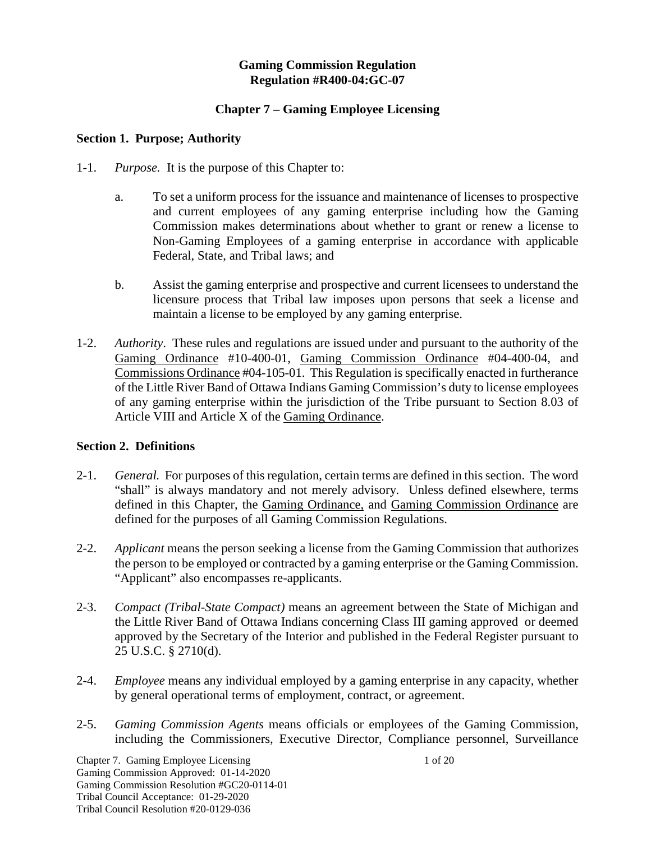#### **Gaming Commission Regulation Regulation #R400-04:GC-07**

## **Chapter 7 – Gaming Employee Licensing**

#### **Section 1. Purpose; Authority**

- 1-1. *Purpose.* It is the purpose of this Chapter to:
	- a. To set a uniform process for the issuance and maintenance of licenses to prospective and current employees of any gaming enterprise including how the Gaming Commission makes determinations about whether to grant or renew a license to Non-Gaming Employees of a gaming enterprise in accordance with applicable Federal, State, and Tribal laws; and
	- b. Assist the gaming enterprise and prospective and current licensees to understand the licensure process that Tribal law imposes upon persons that seek a license and maintain a license to be employed by any gaming enterprise.
- 1-2. *Authority*. These rules and regulations are issued under and pursuant to the authority of the Gaming Ordinance #10-400-01, Gaming Commission Ordinance #04-400-04, and Commissions Ordinance #04-105-01. This Regulation is specifically enacted in furtherance of the Little River Band of Ottawa Indians Gaming Commission's duty to license employees of any gaming enterprise within the jurisdiction of the Tribe pursuant to Section 8.03 of Article VIII and Article X of the Gaming Ordinance.

#### **Section 2. Definitions**

- 2-1. *General.* For purposes of this regulation, certain terms are defined in this section. The word "shall" is always mandatory and not merely advisory. Unless defined elsewhere, terms defined in this Chapter, the Gaming Ordinance, and Gaming Commission Ordinance are defined for the purposes of all Gaming Commission Regulations.
- 2-2. *Applicant* means the person seeking a license from the Gaming Commission that authorizes the person to be employed or contracted by a gaming enterprise or the Gaming Commission. "Applicant" also encompasses re-applicants.
- 2-3. *Compact (Tribal-State Compact)* means an agreement between the State of Michigan and the Little River Band of Ottawa Indians concerning Class III gaming approved or deemed approved by the Secretary of the Interior and published in the Federal Register pursuant to 25 U.S.C. § 2710(d).
- 2-4. *Employee* means any individual employed by a gaming enterprise in any capacity, whether by general operational terms of employment, contract, or agreement.
- 2-5. *Gaming Commission Agents* means officials or employees of the Gaming Commission, including the Commissioners, Executive Director, Compliance personnel, Surveillance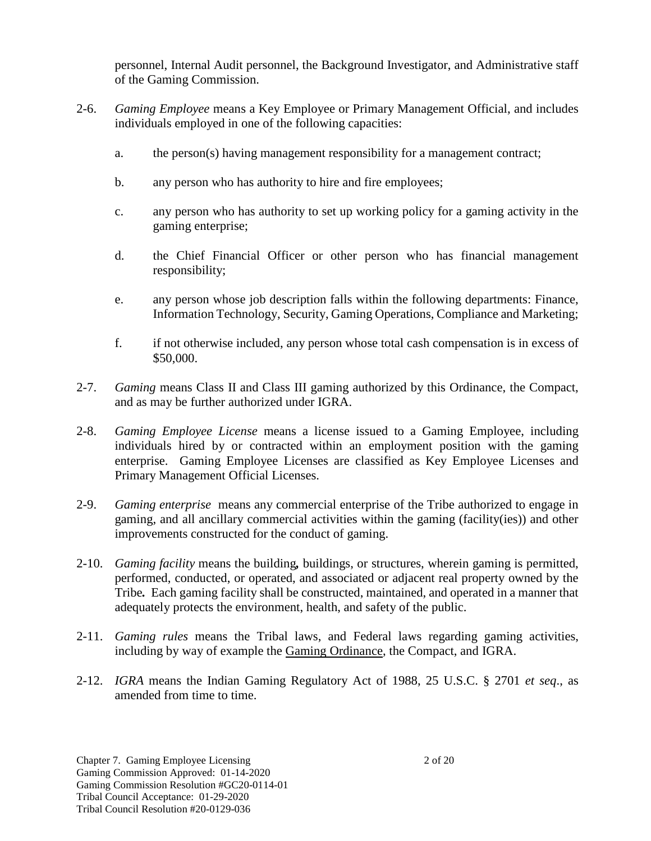personnel, Internal Audit personnel, the Background Investigator, and Administrative staff of the Gaming Commission.

- 2-6. *Gaming Employee* means a Key Employee or Primary Management Official, and includes individuals employed in one of the following capacities:
	- a. the person(s) having management responsibility for a management contract;
	- b. any person who has authority to hire and fire employees;
	- c. any person who has authority to set up working policy for a gaming activity in the gaming enterprise;
	- d. the Chief Financial Officer or other person who has financial management responsibility;
	- e. any person whose job description falls within the following departments: Finance, Information Technology, Security, Gaming Operations, Compliance and Marketing;
	- f. if not otherwise included, any person whose total cash compensation is in excess of \$50,000.
- 2-7. *Gaming* means Class II and Class III gaming authorized by this Ordinance, the Compact, and as may be further authorized under IGRA.
- 2-8. *Gaming Employee License* means a license issued to a Gaming Employee, including individuals hired by or contracted within an employment position with the gaming enterprise. Gaming Employee Licenses are classified as Key Employee Licenses and Primary Management Official Licenses.
- 2-9. *Gaming enterprise* means any commercial enterprise of the Tribe authorized to engage in gaming, and all ancillary commercial activities within the gaming (facility(ies)) and other improvements constructed for the conduct of gaming.
- 2-10. *Gaming facility* means the building*,* buildings, or structures, wherein gaming is permitted, performed, conducted, or operated, and associated or adjacent real property owned by the Tribe*.* Each gaming facility shall be constructed, maintained, and operated in a manner that adequately protects the environment, health, and safety of the public.
- 2-11. *Gaming rules* means the Tribal laws, and Federal laws regarding gaming activities, including by way of example the Gaming Ordinance, the Compact, and IGRA.
- 2-12. *IGRA* means the Indian Gaming Regulatory Act of 1988, 25 U.S.C. § 2701 *et seq*., as amended from time to time.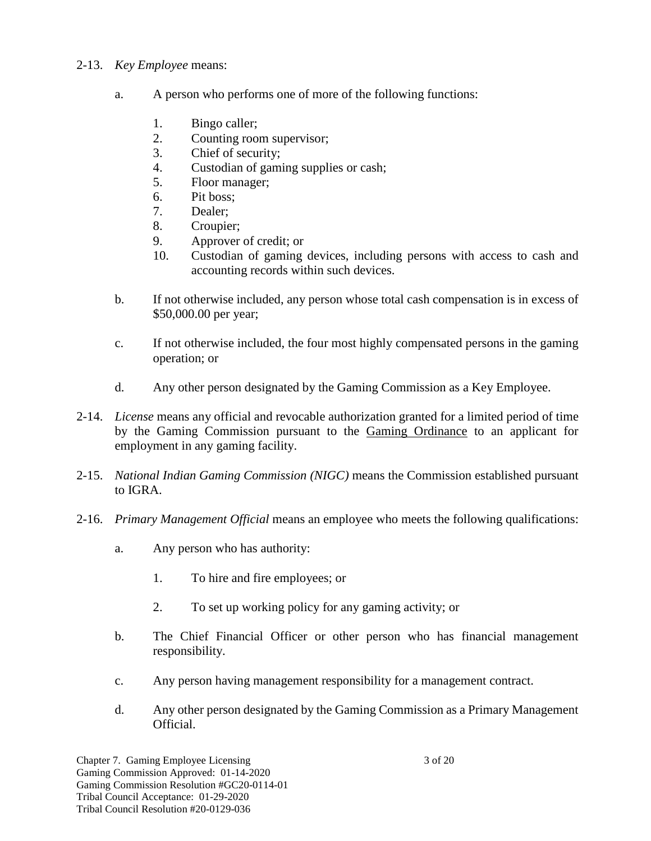## 2-13. *Key Employee* means:

- a. A person who performs one of more of the following functions:
	- 1. Bingo caller;
	- 2. Counting room supervisor;
	- 3. Chief of security;
	- 4. Custodian of gaming supplies or cash;
	- 5. Floor manager;
	- 6. Pit boss;
	- 7. Dealer;
	- 8. Croupier;
	- 9. Approver of credit; or
	- 10. Custodian of gaming devices, including persons with access to cash and accounting records within such devices.
- b. If not otherwise included, any person whose total cash compensation is in excess of \$50,000.00 per year;
- c. If not otherwise included, the four most highly compensated persons in the gaming operation; or
- d. Any other person designated by the Gaming Commission as a Key Employee.
- 2-14. *License* means any official and revocable authorization granted for a limited period of time by the Gaming Commission pursuant to the Gaming Ordinance to an applicant for employment in any gaming facility.
- 2-15. *National Indian Gaming Commission (NIGC)* means the Commission established pursuant to IGRA.
- 2-16. *Primary Management Official* means an employee who meets the following qualifications:
	- a. Any person who has authority:
		- 1. To hire and fire employees; or
		- 2. To set up working policy for any gaming activity; or
	- b. The Chief Financial Officer or other person who has financial management responsibility.
	- c. Any person having management responsibility for a management contract.
	- d. Any other person designated by the Gaming Commission as a Primary Management Official.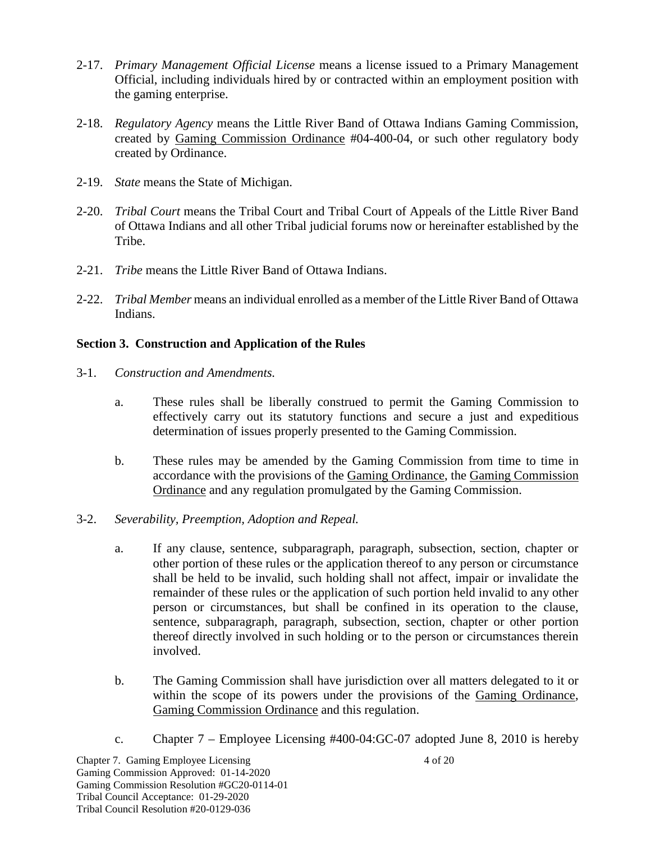- 2-17. *Primary Management Official License* means a license issued to a Primary Management Official, including individuals hired by or contracted within an employment position with the gaming enterprise.
- 2-18. *Regulatory Agency* means the Little River Band of Ottawa Indians Gaming Commission, created by Gaming Commission Ordinance #04-400-04, or such other regulatory body created by Ordinance.
- 2-19. *State* means the State of Michigan.
- 2-20. *Tribal Court* means the Tribal Court and Tribal Court of Appeals of the Little River Band of Ottawa Indians and all other Tribal judicial forums now or hereinafter established by the Tribe.
- 2-21. *Tribe* means the Little River Band of Ottawa Indians.
- 2-22. *Tribal Member* means an individual enrolled as a member of the Little River Band of Ottawa Indians.

## **Section 3. Construction and Application of the Rules**

- 3-1. *Construction and Amendments.*
	- a. These rules shall be liberally construed to permit the Gaming Commission to effectively carry out its statutory functions and secure a just and expeditious determination of issues properly presented to the Gaming Commission.
	- b. These rules may be amended by the Gaming Commission from time to time in accordance with the provisions of the Gaming Ordinance, the Gaming Commission Ordinance and any regulation promulgated by the Gaming Commission.
- 3-2. *Severability, Preemption, Adoption and Repeal.*
	- a. If any clause, sentence, subparagraph, paragraph, subsection, section, chapter or other portion of these rules or the application thereof to any person or circumstance shall be held to be invalid, such holding shall not affect, impair or invalidate the remainder of these rules or the application of such portion held invalid to any other person or circumstances, but shall be confined in its operation to the clause, sentence, subparagraph, paragraph, subsection, section, chapter or other portion thereof directly involved in such holding or to the person or circumstances therein involved.
	- b. The Gaming Commission shall have jurisdiction over all matters delegated to it or within the scope of its powers under the provisions of the Gaming Ordinance, Gaming Commission Ordinance and this regulation.
	- c. Chapter 7 Employee Licensing #400-04:GC-07 adopted June 8, 2010 is hereby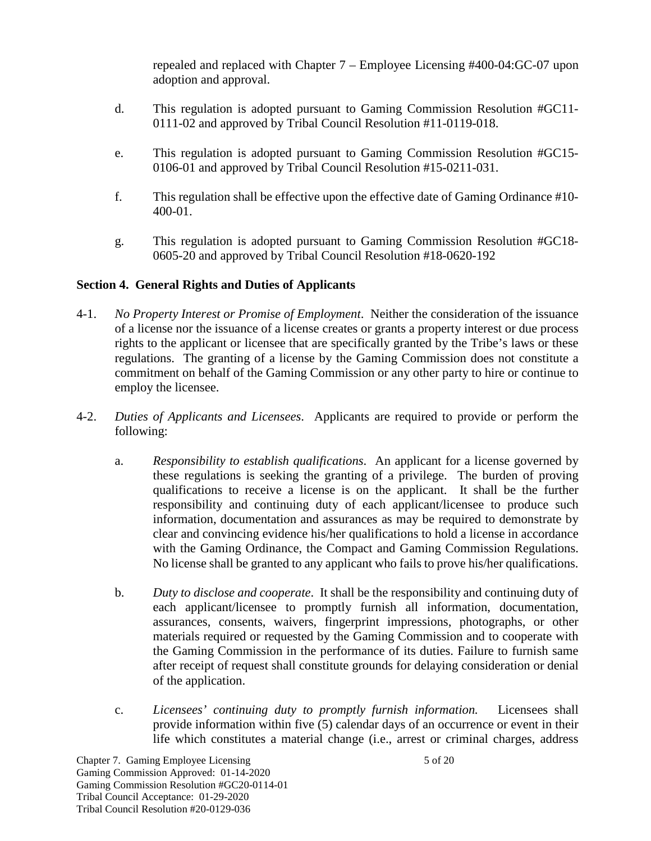repealed and replaced with Chapter 7 – Employee Licensing #400-04:GC-07 upon adoption and approval.

- d. This regulation is adopted pursuant to Gaming Commission Resolution #GC11- 0111-02 and approved by Tribal Council Resolution #11-0119-018.
- e. This regulation is adopted pursuant to Gaming Commission Resolution #GC15- 0106-01 and approved by Tribal Council Resolution #15-0211-031.
- f. This regulation shall be effective upon the effective date of Gaming Ordinance #10- 400-01.
- g. This regulation is adopted pursuant to Gaming Commission Resolution #GC18- 0605-20 and approved by Tribal Council Resolution #18-0620-192

## **Section 4. General Rights and Duties of Applicants**

- 4-1. *No Property Interest or Promise of Employment*. Neither the consideration of the issuance of a license nor the issuance of a license creates or grants a property interest or due process rights to the applicant or licensee that are specifically granted by the Tribe's laws or these regulations. The granting of a license by the Gaming Commission does not constitute a commitment on behalf of the Gaming Commission or any other party to hire or continue to employ the licensee.
- 4-2. *Duties of Applicants and Licensees*. Applicants are required to provide or perform the following:
	- a. *Responsibility to establish qualifications*. An applicant for a license governed by these regulations is seeking the granting of a privilege. The burden of proving qualifications to receive a license is on the applicant. It shall be the further responsibility and continuing duty of each applicant/licensee to produce such information, documentation and assurances as may be required to demonstrate by clear and convincing evidence his/her qualifications to hold a license in accordance with the Gaming Ordinance, the Compact and Gaming Commission Regulations. No license shall be granted to any applicant who fails to prove his/her qualifications.
	- b. *Duty to disclose and cooperate*. It shall be the responsibility and continuing duty of each applicant/licensee to promptly furnish all information, documentation, assurances, consents, waivers, fingerprint impressions, photographs, or other materials required or requested by the Gaming Commission and to cooperate with the Gaming Commission in the performance of its duties. Failure to furnish same after receipt of request shall constitute grounds for delaying consideration or denial of the application.
	- c. *Licensees' continuing duty to promptly furnish information.* Licensees shall provide information within five (5) calendar days of an occurrence or event in their life which constitutes a material change (i.e., arrest or criminal charges, address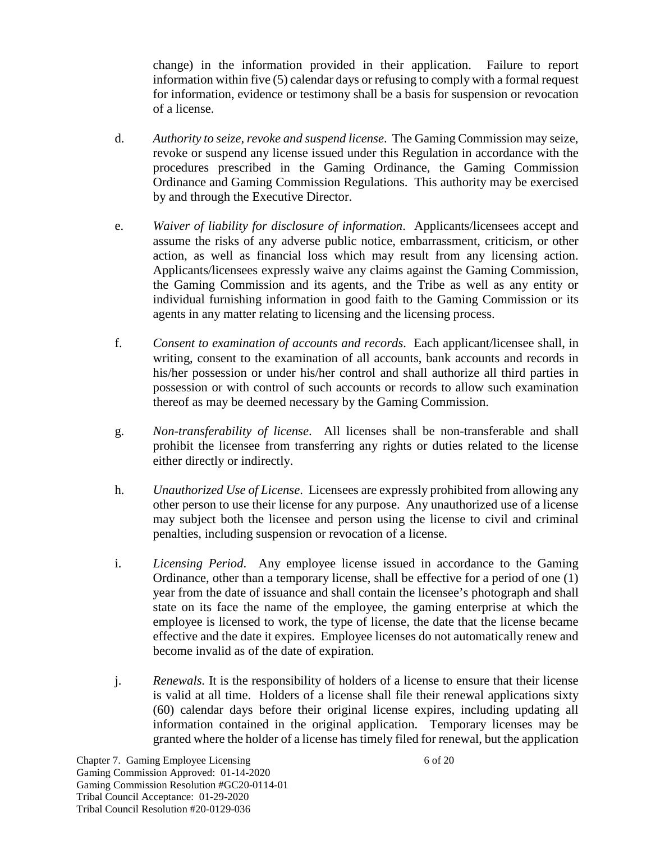change) in the information provided in their application. Failure to report information within five (5) calendar days or refusing to comply with a formal request for information, evidence or testimony shall be a basis for suspension or revocation of a license.

- d. *Authority to seize, revoke and suspend license*. The Gaming Commission may seize, revoke or suspend any license issued under this Regulation in accordance with the procedures prescribed in the Gaming Ordinance, the Gaming Commission Ordinance and Gaming Commission Regulations. This authority may be exercised by and through the Executive Director.
- e. *Waiver of liability for disclosure of information*. Applicants/licensees accept and assume the risks of any adverse public notice, embarrassment, criticism, or other action, as well as financial loss which may result from any licensing action. Applicants/licensees expressly waive any claims against the Gaming Commission, the Gaming Commission and its agents, and the Tribe as well as any entity or individual furnishing information in good faith to the Gaming Commission or its agents in any matter relating to licensing and the licensing process.
- f. *Consent to examination of accounts and records*. Each applicant/licensee shall, in writing, consent to the examination of all accounts, bank accounts and records in his/her possession or under his/her control and shall authorize all third parties in possession or with control of such accounts or records to allow such examination thereof as may be deemed necessary by the Gaming Commission.
- g. *Non-transferability of license*. All licenses shall be non-transferable and shall prohibit the licensee from transferring any rights or duties related to the license either directly or indirectly.
- h. *Unauthorized Use of License*. Licensees are expressly prohibited from allowing any other person to use their license for any purpose. Any unauthorized use of a license may subject both the licensee and person using the license to civil and criminal penalties, including suspension or revocation of a license.
- i. *Licensing Period*. Any employee license issued in accordance to the Gaming Ordinance, other than a temporary license, shall be effective for a period of one (1) year from the date of issuance and shall contain the licensee's photograph and shall state on its face the name of the employee, the gaming enterprise at which the employee is licensed to work, the type of license, the date that the license became effective and the date it expires. Employee licenses do not automatically renew and become invalid as of the date of expiration.
- j. *Renewals.* It is the responsibility of holders of a license to ensure that their license is valid at all time. Holders of a license shall file their renewal applications sixty (60) calendar days before their original license expires, including updating all information contained in the original application. Temporary licenses may be granted where the holder of a license has timely filed for renewal, but the application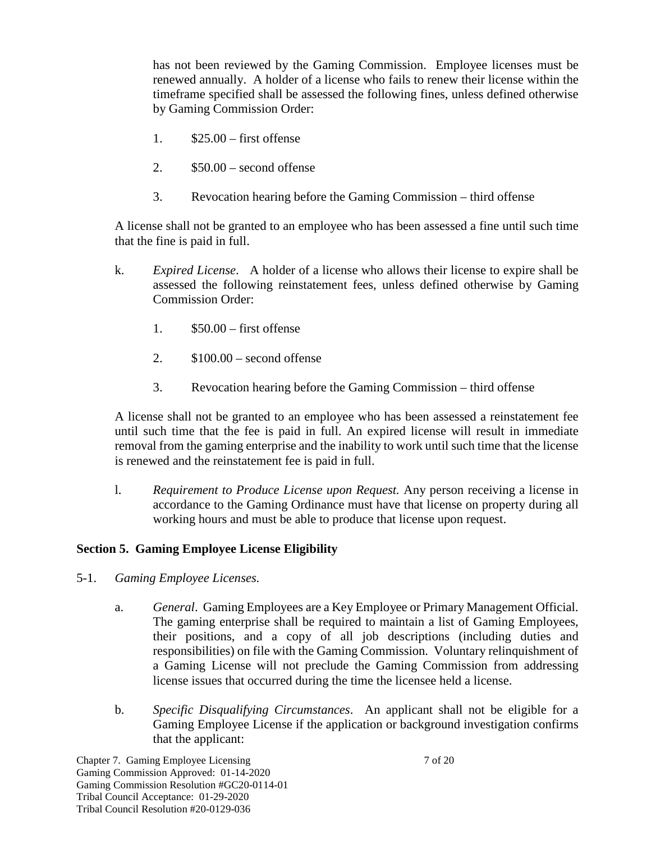has not been reviewed by the Gaming Commission. Employee licenses must be renewed annually. A holder of a license who fails to renew their license within the timeframe specified shall be assessed the following fines, unless defined otherwise by Gaming Commission Order:

- 1. \$25.00 first offense
- 2.  $$50.00 second of fense$
- 3. Revocation hearing before the Gaming Commission third offense

A license shall not be granted to an employee who has been assessed a fine until such time that the fine is paid in full.

- k. *Expired License*. A holder of a license who allows their license to expire shall be assessed the following reinstatement fees, unless defined otherwise by Gaming Commission Order:
	- 1. \$50.00 first offense
	- 2.  $$100.00 second of fense$
	- 3. Revocation hearing before the Gaming Commission third offense

A license shall not be granted to an employee who has been assessed a reinstatement fee until such time that the fee is paid in full. An expired license will result in immediate removal from the gaming enterprise and the inability to work until such time that the license is renewed and the reinstatement fee is paid in full.

l. *Requirement to Produce License upon Request.* Any person receiving a license in accordance to the Gaming Ordinance must have that license on property during all working hours and must be able to produce that license upon request.

## **Section 5. Gaming Employee License Eligibility**

- 5-1. *Gaming Employee Licenses.*
	- a. *General*. Gaming Employees are a Key Employee or Primary Management Official. The gaming enterprise shall be required to maintain a list of Gaming Employees, their positions, and a copy of all job descriptions (including duties and responsibilities) on file with the Gaming Commission. Voluntary relinquishment of a Gaming License will not preclude the Gaming Commission from addressing license issues that occurred during the time the licensee held a license.
	- b. *Specific Disqualifying Circumstances*. An applicant shall not be eligible for a Gaming Employee License if the application or background investigation confirms that the applicant: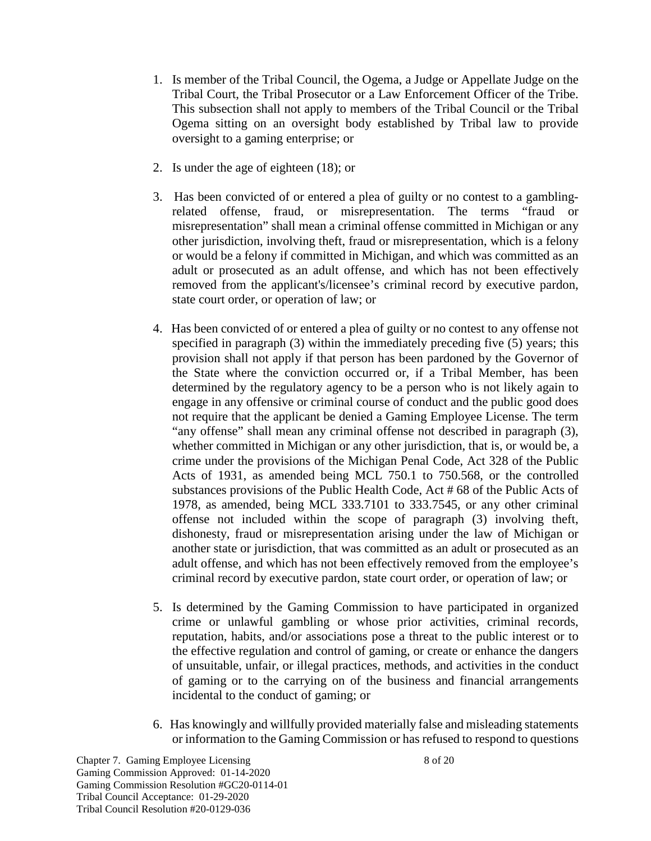- 1. Is member of the Tribal Council, the Ogema, a Judge or Appellate Judge on the Tribal Court, the Tribal Prosecutor or a Law Enforcement Officer of the Tribe. This subsection shall not apply to members of the Tribal Council or the Tribal Ogema sitting on an oversight body established by Tribal law to provide oversight to a gaming enterprise; or
- 2. Is under the age of eighteen (18); or
- 3. Has been convicted of or entered a plea of guilty or no contest to a gamblingrelated offense, fraud, or misrepresentation. The terms "fraud or misrepresentation" shall mean a criminal offense committed in Michigan or any other jurisdiction, involving theft, fraud or misrepresentation, which is a felony or would be a felony if committed in Michigan, and which was committed as an adult or prosecuted as an adult offense, and which has not been effectively removed from the applicant's/licensee's criminal record by executive pardon, state court order, or operation of law; or
- 4. Has been convicted of or entered a plea of guilty or no contest to any offense not specified in paragraph (3) within the immediately preceding five (5) years; this provision shall not apply if that person has been pardoned by the Governor of the State where the conviction occurred or, if a Tribal Member, has been determined by the regulatory agency to be a person who is not likely again to engage in any offensive or criminal course of conduct and the public good does not require that the applicant be denied a Gaming Employee License. The term "any offense" shall mean any criminal offense not described in paragraph (3), whether committed in Michigan or any other jurisdiction, that is, or would be, a crime under the provisions of the Michigan Penal Code, Act 328 of the Public Acts of 1931, as amended being MCL 750.1 to 750.568, or the controlled substances provisions of the Public Health Code, Act # 68 of the Public Acts of 1978, as amended, being MCL 333.7101 to 333.7545, or any other criminal offense not included within the scope of paragraph (3) involving theft, dishonesty, fraud or misrepresentation arising under the law of Michigan or another state or jurisdiction, that was committed as an adult or prosecuted as an adult offense, and which has not been effectively removed from the employee's criminal record by executive pardon, state court order, or operation of law; or
- 5. Is determined by the Gaming Commission to have participated in organized crime or unlawful gambling or whose prior activities, criminal records, reputation, habits, and/or associations pose a threat to the public interest or to the effective regulation and control of gaming, or create or enhance the dangers of unsuitable, unfair, or illegal practices, methods, and activities in the conduct of gaming or to the carrying on of the business and financial arrangements incidental to the conduct of gaming; or
- 6. Has knowingly and willfully provided materially false and misleading statements or information to the Gaming Commission or has refused to respond to questions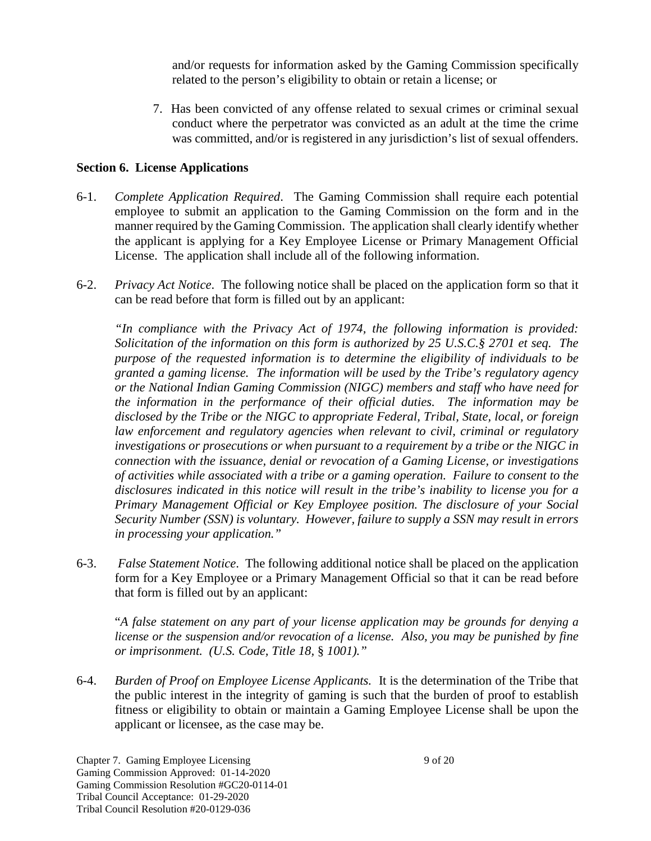and/or requests for information asked by the Gaming Commission specifically related to the person's eligibility to obtain or retain a license; or

7. Has been convicted of any offense related to sexual crimes or criminal sexual conduct where the perpetrator was convicted as an adult at the time the crime was committed, and/or is registered in any jurisdiction's list of sexual offenders.

## **Section 6. License Applications**

- 6-1. *Complete Application Required*. The Gaming Commission shall require each potential employee to submit an application to the Gaming Commission on the form and in the manner required by the Gaming Commission. The application shall clearly identify whether the applicant is applying for a Key Employee License or Primary Management Official License. The application shall include all of the following information.
- 6-2. *Privacy Act Notice*. The following notice shall be placed on the application form so that it can be read before that form is filled out by an applicant:

*"In compliance with the Privacy Act of 1974, the following information is provided: Solicitation of the information on this form is authorized by 25 U.S.C.§ 2701 et seq. The purpose of the requested information is to determine the eligibility of individuals to be granted a gaming license. The information will be used by the Tribe's regulatory agency or the National Indian Gaming Commission (NIGC) members and staff who have need for the information in the performance of their official duties. The information may be disclosed by the Tribe or the NIGC to appropriate Federal, Tribal, State, local, or foreign law enforcement and regulatory agencies when relevant to civil, criminal or regulatory investigations or prosecutions or when pursuant to a requirement by a tribe or the NIGC in connection with the issuance, denial or revocation of a Gaming License, or investigations of activities while associated with a tribe or a gaming operation. Failure to consent to the disclosures indicated in this notice will result in the tribe's inability to license you for a Primary Management Official or Key Employee position. The disclosure of your Social Security Number (SSN) is voluntary. However, failure to supply a SSN may result in errors in processing your application."*

6-3. *False Statement Notice*. The following additional notice shall be placed on the application form for a Key Employee or a Primary Management Official so that it can be read before that form is filled out by an applicant:

"*A false statement on any part of your license application may be grounds for denying a license or the suspension and/or revocation of a license. Also, you may be punished by fine or imprisonment. (U.S. Code, Title 18,* § *1001)."*

6-4. *Burden of Proof on Employee License Applicants.* It is the determination of the Tribe that the public interest in the integrity of gaming is such that the burden of proof to establish fitness or eligibility to obtain or maintain a Gaming Employee License shall be upon the applicant or licensee, as the case may be.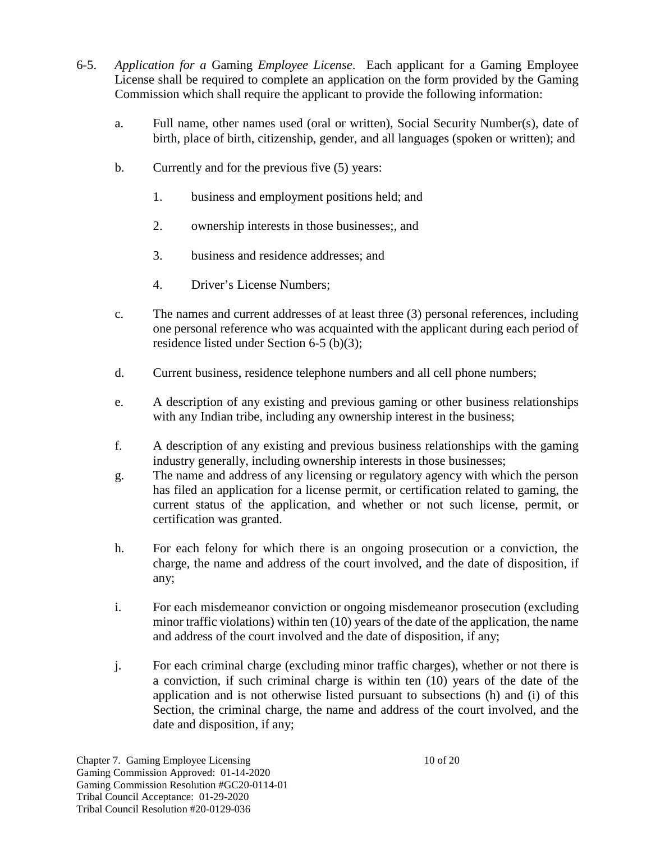- 6-5. *Application for a* Gaming *Employee License*. Each applicant for a Gaming Employee License shall be required to complete an application on the form provided by the Gaming Commission which shall require the applicant to provide the following information:
	- a. Full name, other names used (oral or written), Social Security Number(s), date of birth, place of birth, citizenship, gender, and all languages (spoken or written); and
	- b. Currently and for the previous five (5) years:
		- 1. business and employment positions held; and
		- 2. ownership interests in those businesses;, and
		- 3. business and residence addresses; and
		- 4. Driver's License Numbers;
	- c. The names and current addresses of at least three (3) personal references, including one personal reference who was acquainted with the applicant during each period of residence listed under Section 6-5 (b)(3);
	- d. Current business, residence telephone numbers and all cell phone numbers;
	- e. A description of any existing and previous gaming or other business relationships with any Indian tribe, including any ownership interest in the business;
	- f. A description of any existing and previous business relationships with the gaming industry generally, including ownership interests in those businesses;
	- g. The name and address of any licensing or regulatory agency with which the person has filed an application for a license permit, or certification related to gaming, the current status of the application, and whether or not such license, permit, or certification was granted.
	- h. For each felony for which there is an ongoing prosecution or a conviction, the charge, the name and address of the court involved, and the date of disposition, if any;
	- i. For each misdemeanor conviction or ongoing misdemeanor prosecution (excluding minor traffic violations) within ten (10) years of the date of the application, the name and address of the court involved and the date of disposition, if any;
	- j. For each criminal charge (excluding minor traffic charges), whether or not there is a conviction, if such criminal charge is within ten (10) years of the date of the application and is not otherwise listed pursuant to subsections (h) and (i) of this Section, the criminal charge, the name and address of the court involved, and the date and disposition, if any;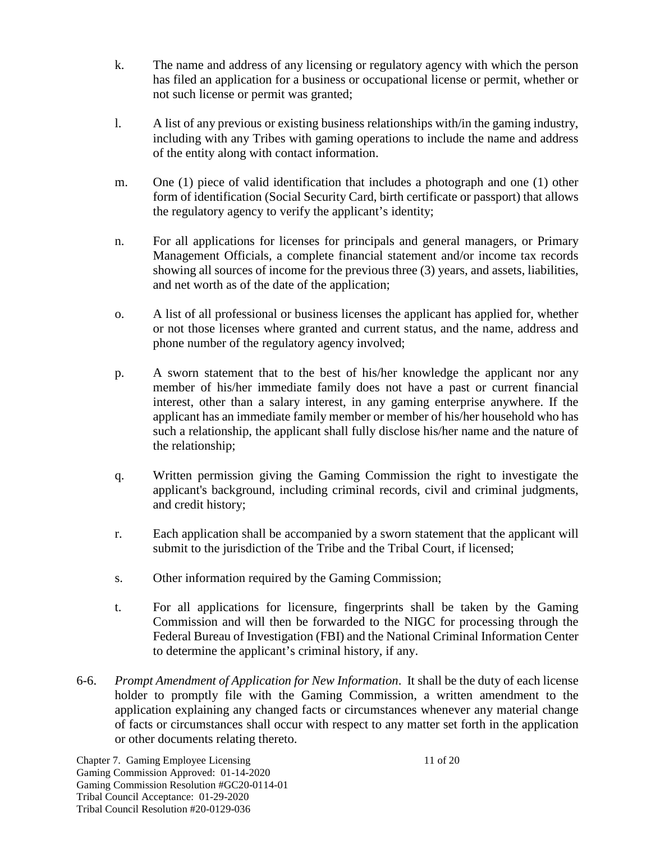- k. The name and address of any licensing or regulatory agency with which the person has filed an application for a business or occupational license or permit, whether or not such license or permit was granted;
- l. A list of any previous or existing business relationships with/in the gaming industry, including with any Tribes with gaming operations to include the name and address of the entity along with contact information.
- m. One (1) piece of valid identification that includes a photograph and one (1) other form of identification (Social Security Card, birth certificate or passport) that allows the regulatory agency to verify the applicant's identity;
- n. For all applications for licenses for principals and general managers, or Primary Management Officials, a complete financial statement and/or income tax records showing all sources of income for the previous three (3) years, and assets, liabilities, and net worth as of the date of the application;
- o. A list of all professional or business licenses the applicant has applied for, whether or not those licenses where granted and current status, and the name, address and phone number of the regulatory agency involved;
- p. A sworn statement that to the best of his/her knowledge the applicant nor any member of his/her immediate family does not have a past or current financial interest, other than a salary interest, in any gaming enterprise anywhere. If the applicant has an immediate family member or member of his/her household who has such a relationship, the applicant shall fully disclose his/her name and the nature of the relationship;
- q. Written permission giving the Gaming Commission the right to investigate the applicant's background, including criminal records, civil and criminal judgments, and credit history;
- r. Each application shall be accompanied by a sworn statement that the applicant will submit to the jurisdiction of the Tribe and the Tribal Court, if licensed;
- s. Other information required by the Gaming Commission;
- t. For all applications for licensure, fingerprints shall be taken by the Gaming Commission and will then be forwarded to the NIGC for processing through the Federal Bureau of Investigation (FBI) and the National Criminal Information Center to determine the applicant's criminal history, if any.
- 6-6. *Prompt Amendment of Application for New Information*. It shall be the duty of each license holder to promptly file with the Gaming Commission, a written amendment to the application explaining any changed facts or circumstances whenever any material change of facts or circumstances shall occur with respect to any matter set forth in the application or other documents relating thereto.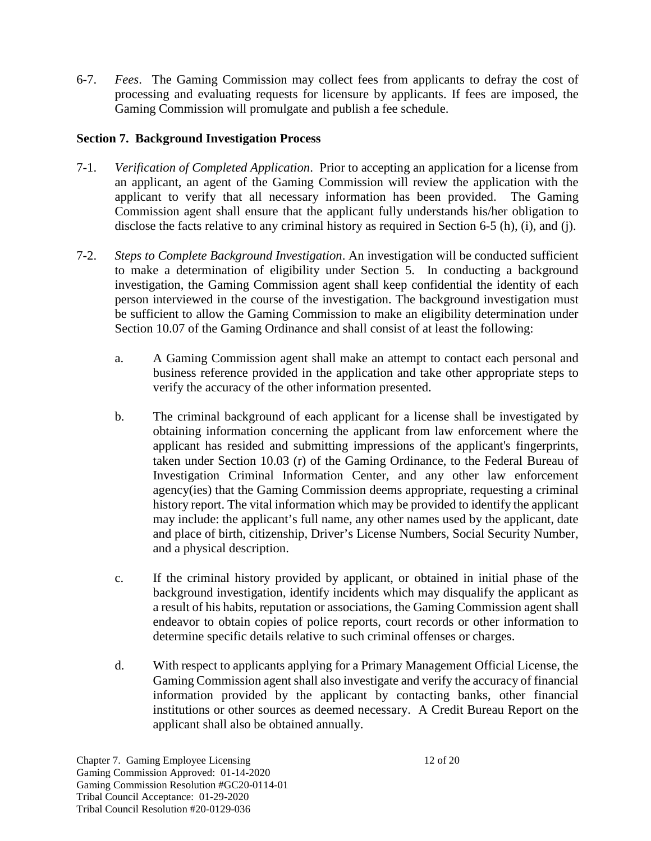6-7. *Fees*. The Gaming Commission may collect fees from applicants to defray the cost of processing and evaluating requests for licensure by applicants. If fees are imposed, the Gaming Commission will promulgate and publish a fee schedule.

## **Section 7. Background Investigation Process**

- 7-1. *Verification of Completed Application*. Prior to accepting an application for a license from an applicant, an agent of the Gaming Commission will review the application with the applicant to verify that all necessary information has been provided. The Gaming Commission agent shall ensure that the applicant fully understands his/her obligation to disclose the facts relative to any criminal history as required in Section 6-5 (h), (i), and (j).
- 7-2. *Steps to Complete Background Investigation*. An investigation will be conducted sufficient to make a determination of eligibility under Section 5. In conducting a background investigation, the Gaming Commission agent shall keep confidential the identity of each person interviewed in the course of the investigation. The background investigation must be sufficient to allow the Gaming Commission to make an eligibility determination under Section 10.07 of the Gaming Ordinance and shall consist of at least the following:
	- a. A Gaming Commission agent shall make an attempt to contact each personal and business reference provided in the application and take other appropriate steps to verify the accuracy of the other information presented.
	- b. The criminal background of each applicant for a license shall be investigated by obtaining information concerning the applicant from law enforcement where the applicant has resided and submitting impressions of the applicant's fingerprints, taken under Section 10.03 (r) of the Gaming Ordinance, to the Federal Bureau of Investigation Criminal Information Center, and any other law enforcement agency(ies) that the Gaming Commission deems appropriate, requesting a criminal history report. The vital information which may be provided to identify the applicant may include: the applicant's full name, any other names used by the applicant, date and place of birth, citizenship, Driver's License Numbers, Social Security Number, and a physical description.
	- c. If the criminal history provided by applicant, or obtained in initial phase of the background investigation, identify incidents which may disqualify the applicant as a result of his habits, reputation or associations, the Gaming Commission agent shall endeavor to obtain copies of police reports, court records or other information to determine specific details relative to such criminal offenses or charges.
	- d. With respect to applicants applying for a Primary Management Official License, the Gaming Commission agent shall also investigate and verify the accuracy of financial information provided by the applicant by contacting banks, other financial institutions or other sources as deemed necessary. A Credit Bureau Report on the applicant shall also be obtained annually.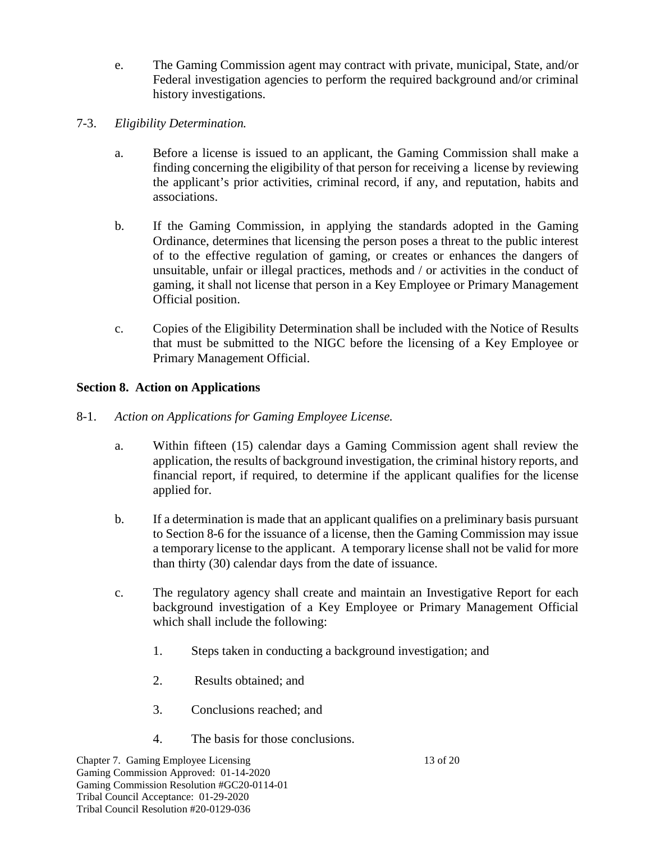- e. The Gaming Commission agent may contract with private, municipal, State, and/or Federal investigation agencies to perform the required background and/or criminal history investigations.
- 7-3. *Eligibility Determination.*
	- a. Before a license is issued to an applicant, the Gaming Commission shall make a finding concerning the eligibility of that person for receiving a license by reviewing the applicant's prior activities, criminal record, if any, and reputation, habits and associations.
	- b. If the Gaming Commission, in applying the standards adopted in the Gaming Ordinance, determines that licensing the person poses a threat to the public interest of to the effective regulation of gaming, or creates or enhances the dangers of unsuitable, unfair or illegal practices, methods and / or activities in the conduct of gaming, it shall not license that person in a Key Employee or Primary Management Official position.
	- c. Copies of the Eligibility Determination shall be included with the Notice of Results that must be submitted to the NIGC before the licensing of a Key Employee or Primary Management Official.

## **Section 8. Action on Applications**

- 8-1. *Action on Applications for Gaming Employee License.*
	- a. Within fifteen (15) calendar days a Gaming Commission agent shall review the application, the results of background investigation, the criminal history reports, and financial report, if required, to determine if the applicant qualifies for the license applied for.
	- b. If a determination is made that an applicant qualifies on a preliminary basis pursuant to Section 8-6 for the issuance of a license, then the Gaming Commission may issue a temporary license to the applicant. A temporary license shall not be valid for more than thirty (30) calendar days from the date of issuance.
	- c. The regulatory agency shall create and maintain an Investigative Report for each background investigation of a Key Employee or Primary Management Official which shall include the following:
		- 1. Steps taken in conducting a background investigation; and
		- 2. Results obtained; and
		- 3. Conclusions reached; and
		- 4. The basis for those conclusions.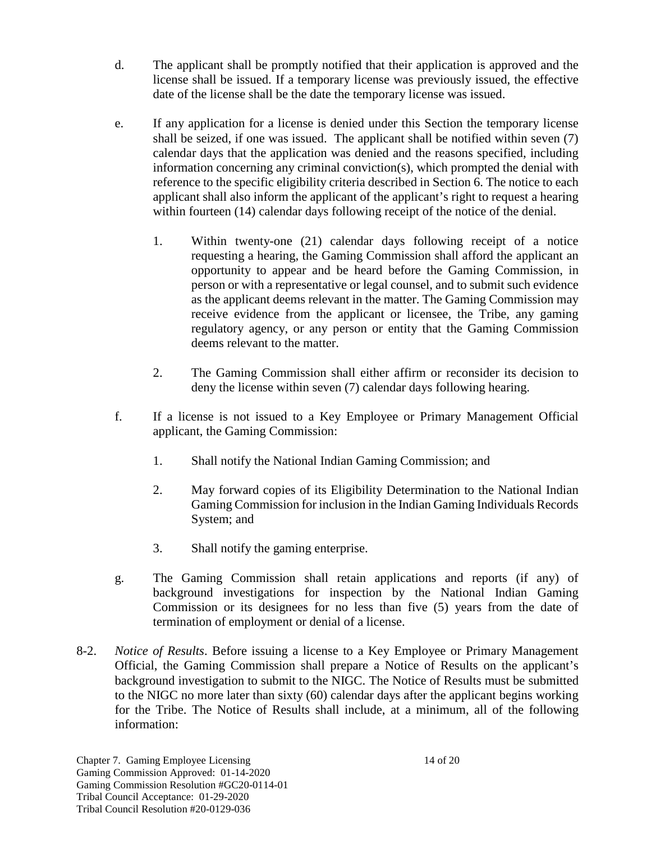- d. The applicant shall be promptly notified that their application is approved and the license shall be issued. If a temporary license was previously issued, the effective date of the license shall be the date the temporary license was issued.
- e. If any application for a license is denied under this Section the temporary license shall be seized, if one was issued. The applicant shall be notified within seven (7) calendar days that the application was denied and the reasons specified, including information concerning any criminal conviction(s), which prompted the denial with reference to the specific eligibility criteria described in Section 6. The notice to each applicant shall also inform the applicant of the applicant's right to request a hearing within fourteen (14) calendar days following receipt of the notice of the denial.
	- 1. Within twenty-one (21) calendar days following receipt of a notice requesting a hearing, the Gaming Commission shall afford the applicant an opportunity to appear and be heard before the Gaming Commission, in person or with a representative or legal counsel, and to submit such evidence as the applicant deems relevant in the matter. The Gaming Commission may receive evidence from the applicant or licensee, the Tribe, any gaming regulatory agency, or any person or entity that the Gaming Commission deems relevant to the matter.
	- 2. The Gaming Commission shall either affirm or reconsider its decision to deny the license within seven (7) calendar days following hearing.
- f. If a license is not issued to a Key Employee or Primary Management Official applicant, the Gaming Commission:
	- 1. Shall notify the National Indian Gaming Commission; and
	- 2. May forward copies of its Eligibility Determination to the National Indian Gaming Commission for inclusion in the Indian Gaming Individuals Records System; and
	- 3. Shall notify the gaming enterprise.
- g. The Gaming Commission shall retain applications and reports (if any) of background investigations for inspection by the National Indian Gaming Commission or its designees for no less than five (5) years from the date of termination of employment or denial of a license.
- 8-2. *Notice of Results*. Before issuing a license to a Key Employee or Primary Management Official, the Gaming Commission shall prepare a Notice of Results on the applicant's background investigation to submit to the NIGC. The Notice of Results must be submitted to the NIGC no more later than sixty (60) calendar days after the applicant begins working for the Tribe. The Notice of Results shall include, at a minimum, all of the following information: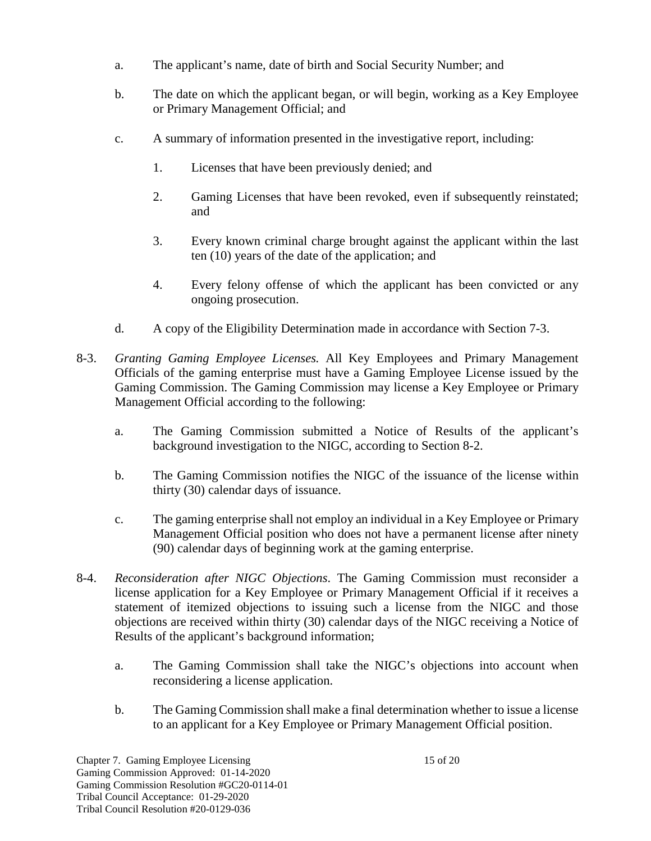- a. The applicant's name, date of birth and Social Security Number; and
- b. The date on which the applicant began, or will begin, working as a Key Employee or Primary Management Official; and
- c. A summary of information presented in the investigative report, including:
	- 1. Licenses that have been previously denied; and
	- 2. Gaming Licenses that have been revoked, even if subsequently reinstated; and
	- 3. Every known criminal charge brought against the applicant within the last ten (10) years of the date of the application; and
	- 4. Every felony offense of which the applicant has been convicted or any ongoing prosecution.
- d. A copy of the Eligibility Determination made in accordance with Section 7-3.
- 8-3. *Granting Gaming Employee Licenses.* All Key Employees and Primary Management Officials of the gaming enterprise must have a Gaming Employee License issued by the Gaming Commission. The Gaming Commission may license a Key Employee or Primary Management Official according to the following:
	- a. The Gaming Commission submitted a Notice of Results of the applicant's background investigation to the NIGC, according to Section 8-2.
	- b. The Gaming Commission notifies the NIGC of the issuance of the license within thirty (30) calendar days of issuance.
	- c. The gaming enterprise shall not employ an individual in a Key Employee or Primary Management Official position who does not have a permanent license after ninety (90) calendar days of beginning work at the gaming enterprise.
- 8-4. *Reconsideration after NIGC Objections*. The Gaming Commission must reconsider a license application for a Key Employee or Primary Management Official if it receives a statement of itemized objections to issuing such a license from the NIGC and those objections are received within thirty (30) calendar days of the NIGC receiving a Notice of Results of the applicant's background information;
	- a. The Gaming Commission shall take the NIGC's objections into account when reconsidering a license application.
	- b. The Gaming Commission shall make a final determination whether to issue a license to an applicant for a Key Employee or Primary Management Official position.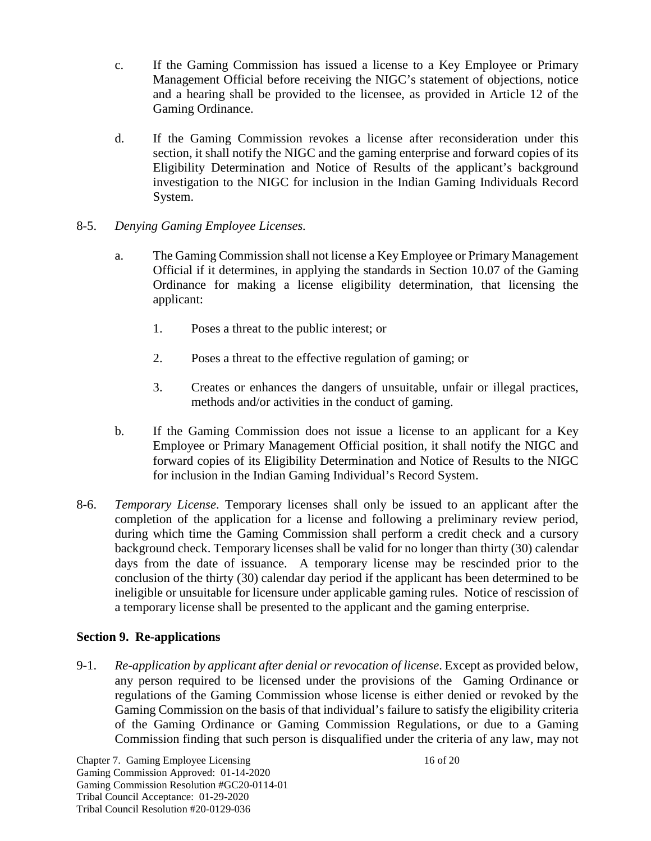- c. If the Gaming Commission has issued a license to a Key Employee or Primary Management Official before receiving the NIGC's statement of objections, notice and a hearing shall be provided to the licensee, as provided in Article 12 of the Gaming Ordinance.
- d. If the Gaming Commission revokes a license after reconsideration under this section, it shall notify the NIGC and the gaming enterprise and forward copies of its Eligibility Determination and Notice of Results of the applicant's background investigation to the NIGC for inclusion in the Indian Gaming Individuals Record System.
- 8-5. *Denying Gaming Employee Licenses.*
	- a. The Gaming Commission shall not license a Key Employee or Primary Management Official if it determines, in applying the standards in Section 10.07 of the Gaming Ordinance for making a license eligibility determination, that licensing the applicant:
		- 1. Poses a threat to the public interest; or
		- 2. Poses a threat to the effective regulation of gaming; or
		- 3. Creates or enhances the dangers of unsuitable, unfair or illegal practices, methods and/or activities in the conduct of gaming.
	- b. If the Gaming Commission does not issue a license to an applicant for a Key Employee or Primary Management Official position, it shall notify the NIGC and forward copies of its Eligibility Determination and Notice of Results to the NIGC for inclusion in the Indian Gaming Individual's Record System.
- 8-6. *Temporary License*. Temporary licenses shall only be issued to an applicant after the completion of the application for a license and following a preliminary review period, during which time the Gaming Commission shall perform a credit check and a cursory background check. Temporary licenses shall be valid for no longer than thirty (30) calendar days from the date of issuance. A temporary license may be rescinded prior to the conclusion of the thirty (30) calendar day period if the applicant has been determined to be ineligible or unsuitable for licensure under applicable gaming rules. Notice of rescission of a temporary license shall be presented to the applicant and the gaming enterprise.

# **Section 9. Re-applications**

9-1. *Re-application by applicant after denial or revocation of license*. Except as provided below, any person required to be licensed under the provisions of the Gaming Ordinance or regulations of the Gaming Commission whose license is either denied or revoked by the Gaming Commission on the basis of that individual's failure to satisfy the eligibility criteria of the Gaming Ordinance or Gaming Commission Regulations, or due to a Gaming Commission finding that such person is disqualified under the criteria of any law, may not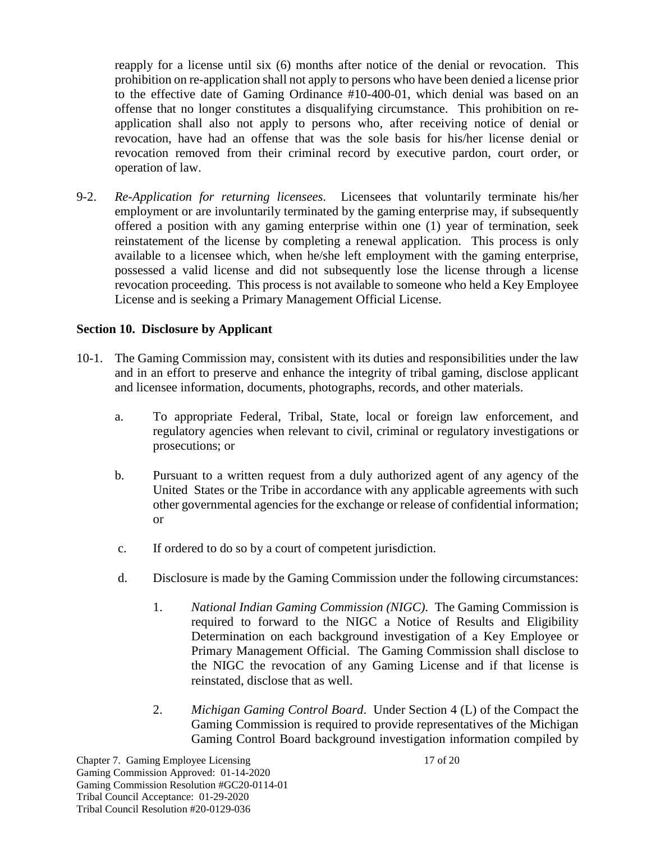reapply for a license until six (6) months after notice of the denial or revocation. This prohibition on re-application shall not apply to persons who have been denied a license prior to the effective date of Gaming Ordinance #10-400-01, which denial was based on an offense that no longer constitutes a disqualifying circumstance. This prohibition on reapplication shall also not apply to persons who, after receiving notice of denial or revocation, have had an offense that was the sole basis for his/her license denial or revocation removed from their criminal record by executive pardon, court order, or operation of law.

9-2. *Re-Application for returning licensees*. Licensees that voluntarily terminate his/her employment or are involuntarily terminated by the gaming enterprise may, if subsequently offered a position with any gaming enterprise within one (1) year of termination, seek reinstatement of the license by completing a renewal application. This process is only available to a licensee which, when he/she left employment with the gaming enterprise, possessed a valid license and did not subsequently lose the license through a license revocation proceeding. This process is not available to someone who held a Key Employee License and is seeking a Primary Management Official License.

#### **Section 10. Disclosure by Applicant**

- 10-1. The Gaming Commission may, consistent with its duties and responsibilities under the law and in an effort to preserve and enhance the integrity of tribal gaming, disclose applicant and licensee information, documents, photographs, records, and other materials.
	- a. To appropriate Federal, Tribal, State, local or foreign law enforcement, and regulatory agencies when relevant to civil, criminal or regulatory investigations or prosecutions; or
	- b. Pursuant to a written request from a duly authorized agent of any agency of the United States or the Tribe in accordance with any applicable agreements with such other governmental agencies for the exchange or release of confidential information; or
	- c. If ordered to do so by a court of competent jurisdiction.
	- d. Disclosure is made by the Gaming Commission under the following circumstances:
		- 1. *National Indian Gaming Commission (NIGC)*. The Gaming Commission is required to forward to the NIGC a Notice of Results and Eligibility Determination on each background investigation of a Key Employee or Primary Management Official. The Gaming Commission shall disclose to the NIGC the revocation of any Gaming License and if that license is reinstated, disclose that as well.
		- 2. *Michigan Gaming Control Board*. Under Section 4 (L) of the Compact the Gaming Commission is required to provide representatives of the Michigan Gaming Control Board background investigation information compiled by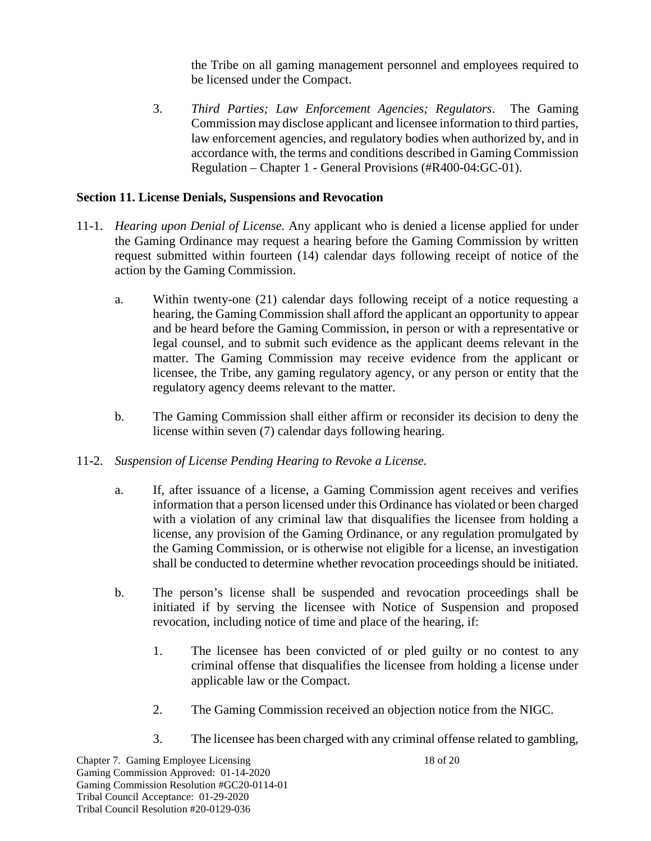the Tribe on all gaming management personnel and employees required to be licensed under the Compact.

3. *Third Parties; Law Enforcement Agencies; Regulators*. The Gaming Commission may disclose applicant and licensee information to third parties, law enforcement agencies, and regulatory bodies when authorized by, and in accordance with, the terms and conditions described in Gaming Commission Regulation – Chapter 1 - General Provisions (#R400-04:GC-01).

#### **Section 11. License Denials, Suspensions and Revocation**

- 11-1. *Hearing upon Denial of License.* Any applicant who is denied a license applied for under the Gaming Ordinance may request a hearing before the Gaming Commission by written request submitted within fourteen (14) calendar days following receipt of notice of the action by the Gaming Commission.
	- a. Within twenty-one (21) calendar days following receipt of a notice requesting a hearing, the Gaming Commission shall afford the applicant an opportunity to appear and be heard before the Gaming Commission, in person or with a representative or legal counsel, and to submit such evidence as the applicant deems relevant in the matter. The Gaming Commission may receive evidence from the applicant or licensee, the Tribe, any gaming regulatory agency, or any person or entity that the regulatory agency deems relevant to the matter.
	- b. The Gaming Commission shall either affirm or reconsider its decision to deny the license within seven (7) calendar days following hearing.
- 11-2. *Suspension of License Pending Hearing to Revoke a License.*
	- a. If, after issuance of a license, a Gaming Commission agent receives and verifies information that a person licensed under this Ordinance has violated or been charged with a violation of any criminal law that disqualifies the licensee from holding a license, any provision of the Gaming Ordinance, or any regulation promulgated by the Gaming Commission, or is otherwise not eligible for a license, an investigation shall be conducted to determine whether revocation proceedings should be initiated.
	- b. The person's license shall be suspended and revocation proceedings shall be initiated if by serving the licensee with Notice of Suspension and proposed revocation, including notice of time and place of the hearing, if:
		- 1. The licensee has been convicted of or pled guilty or no contest to any criminal offense that disqualifies the licensee from holding a license under applicable law or the Compact.
		- 2. The Gaming Commission received an objection notice from the NIGC.
		- 3. The licensee has been charged with any criminal offense related to gambling,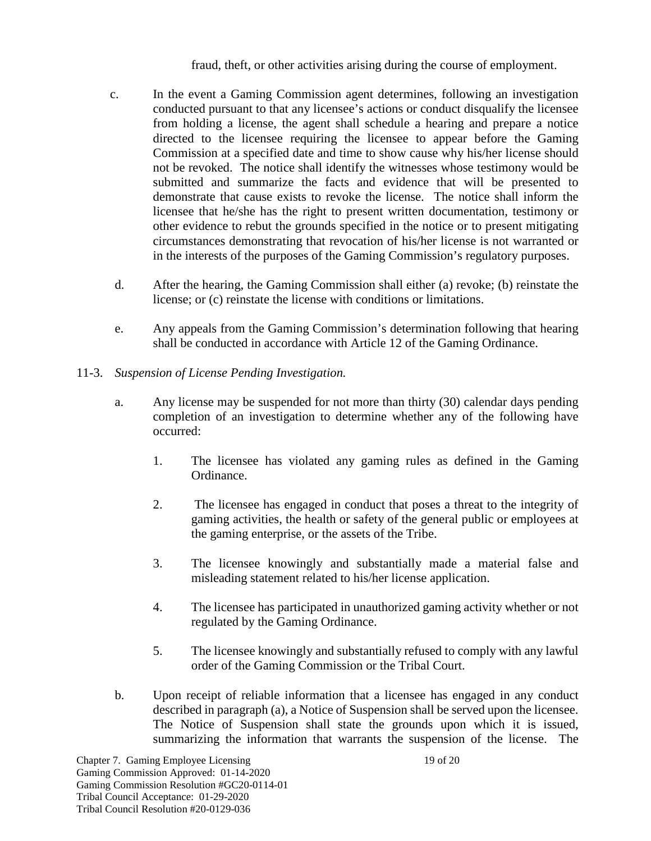fraud, theft, or other activities arising during the course of employment.

- c. In the event a Gaming Commission agent determines, following an investigation conducted pursuant to that any licensee's actions or conduct disqualify the licensee from holding a license, the agent shall schedule a hearing and prepare a notice directed to the licensee requiring the licensee to appear before the Gaming Commission at a specified date and time to show cause why his/her license should not be revoked. The notice shall identify the witnesses whose testimony would be submitted and summarize the facts and evidence that will be presented to demonstrate that cause exists to revoke the license. The notice shall inform the licensee that he/she has the right to present written documentation, testimony or other evidence to rebut the grounds specified in the notice or to present mitigating circumstances demonstrating that revocation of his/her license is not warranted or in the interests of the purposes of the Gaming Commission's regulatory purposes.
- d. After the hearing, the Gaming Commission shall either (a) revoke; (b) reinstate the license; or (c) reinstate the license with conditions or limitations.
- e. Any appeals from the Gaming Commission's determination following that hearing shall be conducted in accordance with Article 12 of the Gaming Ordinance.
- 11-3. *Suspension of License Pending Investigation.*
	- a. Any license may be suspended for not more than thirty (30) calendar days pending completion of an investigation to determine whether any of the following have occurred:
		- 1. The licensee has violated any gaming rules as defined in the Gaming Ordinance.
		- 2. The licensee has engaged in conduct that poses a threat to the integrity of gaming activities, the health or safety of the general public or employees at the gaming enterprise, or the assets of the Tribe.
		- 3. The licensee knowingly and substantially made a material false and misleading statement related to his/her license application.
		- 4. The licensee has participated in unauthorized gaming activity whether or not regulated by the Gaming Ordinance.
		- 5. The licensee knowingly and substantially refused to comply with any lawful order of the Gaming Commission or the Tribal Court.
	- b. Upon receipt of reliable information that a licensee has engaged in any conduct described in paragraph (a), a Notice of Suspension shall be served upon the licensee. The Notice of Suspension shall state the grounds upon which it is issued, summarizing the information that warrants the suspension of the license. The